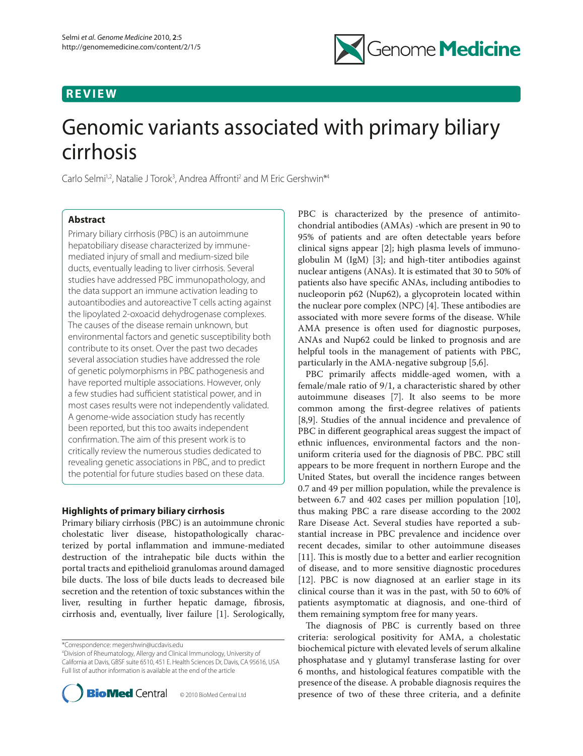## **REVIEW**



# Genomic variants associated with primary biliary cirrhosis

Carlo Selmi<sup>1,2</sup>, Natalie J Torok<sup>3</sup>, Andrea Affronti<sup>2</sup> and M Eric Gershwin<sup>\*4</sup>

## **Abstract**

Primary biliary cirrhosis (PBC) is an autoimmune hepatobiliary disease characterized by immunemediated injury of small and medium-sized bile ducts, eventually leading to liver cirrhosis. Several studies have addressed PBC immunopathology, and the data support an immune activation leading to autoantibodies and autoreactive T cells acting against the lipoylated 2-oxoacid dehydrogenase complexes. The causes of the disease remain unknown, but environmental factors and genetic susceptibility both contribute to its onset. Over the past two decades several association studies have addressed the role of genetic polymorphisms in PBC pathogenesis and have reported multiple associations. However, only a few studies had sufficient statistical power, and in most cases results were not independently validated. A genome-wide association study has recently been reported, but this too awaits independent confirmation. The aim of this present work is to critically review the numerous studies dedicated to revealing genetic associations in PBC, and to predict the potential for future studies based on these data.

## **Highlights of primary biliary cirrhosis**

Primary biliary cirrhosis (PBC) is an autoimmune chronic cholestatic liver disease, histopathologically characterized by portal inflammation and immune-mediated destruction of the intrahepatic bile ducts within the portal tracts and epithelioid granulomas around damaged bile ducts. The loss of bile ducts leads to decreased bile secretion and the retention of toxic substances within the liver, resulting in further hepatic damage, fibrosis, cirrhosis and, eventually, liver failure [1]. Serologically,

\*Correspondence: megershwin@ucdavis.edu

4 Division of Rheumatology, Allergy and Clinical Immunology, University of California at Davis, GBSF suite 6510, 451 E. Health Sciences Dr, Davis, CA 95616, USA Full list of author information is available at the end of the article



PBC is characterized by the presence of antimitochondrial antibodies (AMAs) -which are present in 90 to 95% of patients and are often detectable years before clinical signs appear [2]; high plasma levels of immunoglobulin M (IgM) [3]; and high-titer antibodies against nuclear antigens (ANAs). It is estimated that 30 to 50% of patients also have specific ANAs, including antibodies to nucleoporin p62 (Nup62), a glycoprotein located within the nuclear pore complex (NPC)  $[4]$ . These antibodies are associated with more severe forms of the disease. While AMA presence is often used for diagnostic purposes, ANAs and Nup62 could be linked to prognosis and are helpful tools in the management of patients with PBC, particularly in the AMA-negative subgroup [5,6].

PBC primarily affects middle-aged women, with a female/male ratio of 9/1, a characteristic shared by other autoimmune diseases [7]. It also seems to be more common among the first-degree relatives of patients [8,9]. Studies of the annual incidence and prevalence of PBC in different geographical areas suggest the impact of ethnic influences, environmental factors and the nonuniform criteria used for the diagnosis of PBC. PBC still appears to be more frequent in northern Europe and the United States, but overall the incidence ranges between 0.7 and 49 per million population, while the prevalence is between 6.7 and 402 cases per million population [10], thus making PBC a rare disease according to the 2002 Rare Disease Act. Several studies have reported a substantial increase in PBC prevalence and incidence over recent decades, similar to other autoimmune diseases [11]. This is mostly due to a better and earlier recognition of disease, and to more sensitive diagnostic procedures [12]. PBC is now diagnosed at an earlier stage in its clinical course than it was in the past, with 50 to 60% of patients asymptomatic at diagnosis, and one-third of them remaining symptom free for many years.

The diagnosis of PBC is currently based on three criteria: serological positivity for AMA, a cholestatic biochemical picture with elevated levels of serum alkaline phosphatase and γ glutamyl transferase lasting for over 6 months, and histological features compatible with the presence of the disease. A probable diagnosis requires the presence of two of these three criteria, and a definite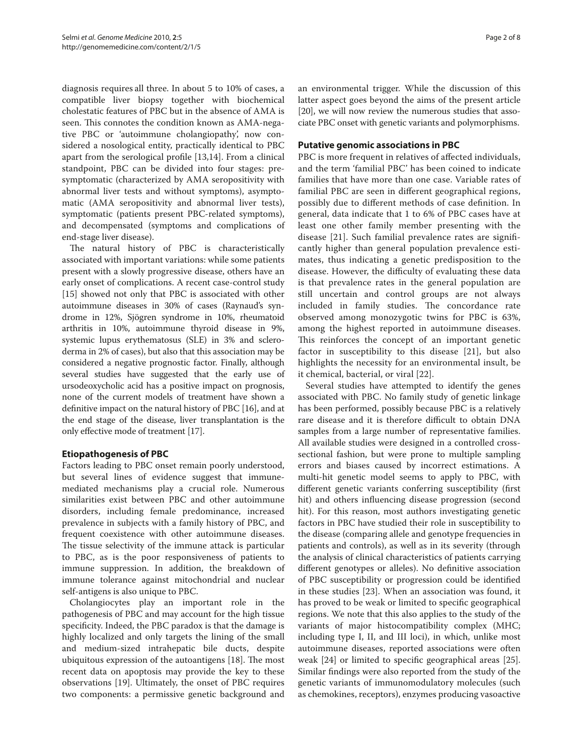diagnosis requires all three. In about 5 to 10% of cases, a compatible liver biopsy together with biochemical cholestatic features of PBC but in the absence of AMA is seen. This connotes the condition known as AMA-negative PBC or 'autoimmune cholangiopathy', now considered a nosological entity, practically identical to PBC apart from the serological profile [13,14]. From a clinical standpoint, PBC can be divided into four stages: presymptomatic (characterized by AMA seropositivity with abnormal liver tests and without symptoms), asymptomatic (AMA seropositivity and abnormal liver tests), symptomatic (patients present PBC-related symptoms), and decompensated (symptoms and complications of end-stage liver disease).

The natural history of PBC is characteristically associated with important variations: while some patients present with a slowly progressive disease, others have an early onset of complications. A recent case-control study [15] showed not only that PBC is associated with other autoimmune diseases in 30% of cases (Raynaud's syndrome in 12%, Sjögren syndrome in 10%, rheumatoid arthritis in 10%, autoimmune thyroid disease in 9%, systemic lupus erythematosus (SLE) in 3% and scleroderma in 2% of cases), but also that this association may be considered a negative prognostic factor. Finally, although several studies have suggested that the early use of ursodeoxycholic acid has a positive impact on prognosis, none of the current models of treatment have shown a definitive impact on the natural history of PBC [16], and at the end stage of the disease, liver transplantation is the only effective mode of treatment [17].

## **Etiopathogenesis of PBC**

Factors leading to PBC onset remain poorly understood, but several lines of evidence suggest that immunemediated mechanisms play a crucial role. Numerous similarities exist between PBC and other autoimmune disorders, including female predominance, increased prevalence in subjects with a family history of PBC, and frequent coexistence with other autoimmune diseases. The tissue selectivity of the immune attack is particular to PBC, as is the poor responsiveness of patients to immune suppression. In addition, the breakdown of immune tolerance against mitochondrial and nuclear self-antigens is also unique to PBC.

Cholangiocytes play an important role in the pathogenesis of PBC and may account for the high tissue specificity. Indeed, the PBC paradox is that the damage is highly localized and only targets the lining of the small and medium-sized intrahepatic bile ducts, despite ubiquitous expression of the autoantigens [18]. The most recent data on apoptosis may provide the key to these observations [19]. Ultimately, the onset of PBC requires two components: a permissive genetic background and an environmental trigger. While the discussion of this latter aspect goes beyond the aims of the present article [20], we will now review the numerous studies that associate PBC onset with genetic variants and polymorphisms.

## **Putative genomic associations in PBC**

PBC is more frequent in relatives of affected individuals, and the term 'familial PBC' has been coined to indicate families that have more than one case. Variable rates of familial PBC are seen in different geographical regions, possibly due to different methods of case definition. In general, data indicate that 1 to 6% of PBC cases have at least one other family member presenting with the disease [21]. Such familial prevalence rates are significantly higher than general population prevalence estimates, thus indicating a genetic predisposition to the disease. However, the difficulty of evaluating these data is that prevalence rates in the general population are still uncertain and control groups are not always included in family studies. The concordance rate observed among monozygotic twins for PBC is 63%, among the highest reported in autoimmune diseases. This reinforces the concept of an important genetic factor in susceptibility to this disease [21], but also highlights the necessity for an environmental insult, be it chemical, bacterial, or viral [22].

Several studies have attempted to identify the genes associated with PBC. No family study of genetic linkage has been performed, possibly because PBC is a relatively rare disease and it is therefore difficult to obtain DNA samples from a large number of representative families. All available studies were designed in a controlled crosssectional fashion, but were prone to multiple sampling errors and biases caused by incorrect estimations. A multi-hit genetic model seems to apply to PBC, with different genetic variants conferring susceptibility (first hit) and others influencing disease progression (second hit). For this reason, most authors investigating genetic factors in PBC have studied their role in susceptibility to the disease (comparing allele and genotype frequencies in patients and controls), as well as in its severity (through the analysis of clinical characteristics of patients carrying different genotypes or alleles). No definitive association of PBC susceptibility or progression could be identified in these studies [23]. When an association was found, it has proved to be weak or limited to specific geographical regions. We note that this also applies to the study of the variants of major histocompatibility complex (MHC; including type I, II, and III loci), in which, unlike most autoimmune diseases, reported associations were often weak [24] or limited to specific geographical areas [25]. Similar findings were also reported from the study of the genetic variants of immunomodulatory molecules (such as chemokines, receptors), enzymes producing vasoactive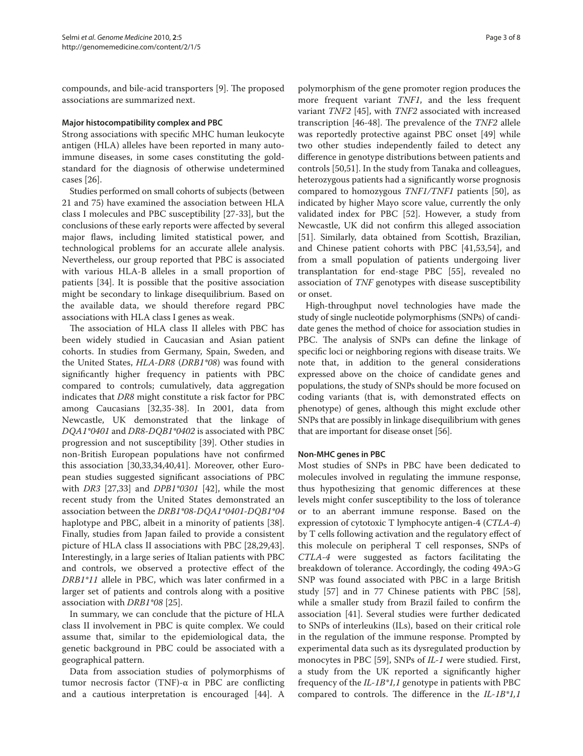compounds, and bile-acid transporters [9]. The proposed associations are summarized next.

#### **Major histocompatibility complex and PBC**

Strong associations with specific MHC human leukocyte antigen (HLA) alleles have been reported in many autoimmune diseases, in some cases constituting the goldstandard for the diagnosis of otherwise undetermined cases [26].

Studies performed on small cohorts of subjects (between 21 and 75) have examined the association between HLA class I molecules and PBC susceptibility [27-33], but the conclusions of these early reports were affected by several major flaws, including limited statistical power, and technological problems for an accurate allele analysis. Nevertheless, our group reported that PBC is associated with various HLA-B alleles in a small proportion of patients [34]. It is possible that the positive association might be secondary to linkage disequilibrium. Based on the available data, we should therefore regard PBC associations with HLA class I genes as weak.

The association of HLA class II alleles with PBC has been widely studied in Caucasian and Asian patient cohorts. In studies from Germany, Spain, Sweden, and the United States, *HLA-DR8* (*DRB1\*08*) was found with significantly higher frequency in patients with PBC compared to controls; cumulatively, data aggregation indicates that *DR8* might constitute a risk factor for PBC among Caucasians [32,35-38]. In 2001, data from Newcastle, UK demonstrated that the linkage of *DQA1\*0401* and *DR8-DQB1\*0402* is associated with PBC progression and not susceptibility [39]. Other studies in non-British European populations have not confirmed this association [30,33,34,40,41]. Moreover, other European studies suggested significant associations of PBC with *DR3* [27,33] and *DPB1\*0301* [42], while the most recent study from the United States demonstrated an association between the *DRB1\*08-DQA1\*0401-DQB1\*04* haplotype and PBC, albeit in a minority of patients [38]. Finally, studies from Japan failed to provide a consistent picture of HLA class II associations with PBC [28,29,43]. Interestingly, in a large series of Italian patients with PBC and controls, we observed a protective effect of the *DRB1\*11* allele in PBC, which was later confirmed in a larger set of patients and controls along with a positive association with *DRB1\*08* [25].

In summary, we can conclude that the picture of HLA class II involvement in PBC is quite complex. We could assume that, similar to the epidemiological data, the genetic background in PBC could be associated with a geographical pattern.

Data from association studies of polymorphisms of tumor necrosis factor (TNF)-α in PBC are conflicting and a cautious interpretation is encouraged [44]. A polymorphism of the gene promoter region produces the more frequent variant *TNF1*, and the less frequent variant *TNF2* [45], with *TNF2* associated with increased transcription [46-48]. The prevalence of the *TNF2* allele was reportedly protective against PBC onset [49] while two other studies independently failed to detect any difference in genotype distributions between patients and controls [50,51]. In the study from Tanaka and colleagues, heterozygous patients had a significantly worse prognosis compared to homozygous *TNF1/TNF1* patients [50], as indicated by higher Mayo score value, currently the only validated index for PBC [52]. However, a study from Newcastle, UK did not confirm this alleged association [51]. Similarly, data obtained from Scottish, Brazilian, and Chinese patient cohorts with PBC [41,53,54], and from a small population of patients undergoing liver transplantation for end-stage PBC [55], revealed no association of *TNF* genotypes with disease susceptibility or onset.

High-throughput novel technologies have made the study of single nucleotide polymorphisms (SNPs) of candidate genes the method of choice for association studies in PBC. The analysis of SNPs can define the linkage of specific loci or neighboring regions with disease traits. We note that, in addition to the general considerations expressed above on the choice of candidate genes and populations, the study of SNPs should be more focused on coding variants (that is, with demonstrated effects on phenotype) of genes, although this might exclude other SNPs that are possibly in linkage disequilibrium with genes that are important for disease onset [56].

## **Non-MHC genes in PBC**

Most studies of SNPs in PBC have been dedicated to molecules involved in regulating the immune response, thus hypothesizing that genomic differences at these levels might confer susceptibility to the loss of tolerance or to an aberrant immune response. Based on the expression of cytotoxic T lymphocyte antigen-4 (*CTLA-4*) by T cells following activation and the regulatory effect of this molecule on peripheral T cell responses, SNPs of *CTLA-4* were suggested as factors facilitating the breakdown of tolerance. Accordingly, the coding 49A>G SNP was found associated with PBC in a large British study [57] and in 77 Chinese patients with PBC [58], while a smaller study from Brazil failed to confirm the association [41]. Several studies were further dedicated to SNPs of interleukins (ILs), based on their critical role in the regulation of the immune response. Prompted by experimental data such as its dysregulated production by monocytes in PBC [59], SNPs of *IL-1* were studied. First, a study from the UK reported a significantly higher frequency of the *IL-1B\*1,1* genotype in patients with PBC compared to controls. The difference in the *IL-1B\*1,1*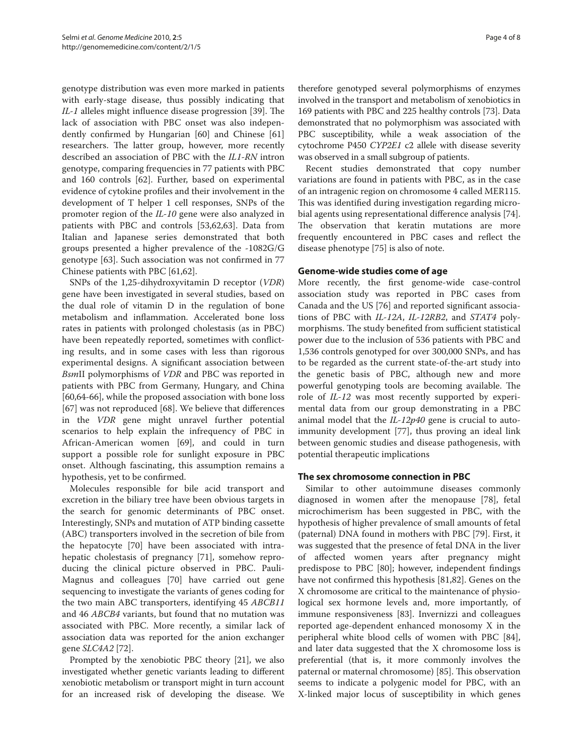genotype distribution was even more marked in patients with early-stage disease, thus possibly indicating that *IL-1* alleles might influence disease progression [39]. The lack of association with PBC onset was also independently confirmed by Hungarian [60] and Chinese [61] researchers. The latter group, however, more recently described an association of PBC with the *IL1-RN* intron genotype, comparing frequencies in 77 patients with PBC and 160 controls [62]. Further, based on experimental evidence of cytokine profiles and their involvement in the development of T helper 1 cell responses, SNPs of the promoter region of the *IL-10* gene were also analyzed in patients with PBC and controls [53,62,63]. Data from Italian and Japanese series demonstrated that both groups presented a higher prevalence of the -1082G/G genotype [63]. Such association was not confirmed in 77 Chinese patients with PBC [61,62].

SNPs of the 1,25-dihydroxyvitamin D receptor (*VDR*) gene have been investigated in several studies, based on the dual role of vitamin D in the regulation of bone metabolism and inflammation. Accelerated bone loss rates in patients with prolonged cholestasis (as in PBC) have been repeatedly reported, sometimes with conflicting results, and in some cases with less than rigorous experimental designs. A significant association between *Bsm*II polymorphisms of *VDR* and PBC was reported in patients with PBC from Germany, Hungary, and China [60,64-66], while the proposed association with bone loss [67] was not reproduced [68]. We believe that differences in the *VDR* gene might unravel further potential scenarios to help explain the infrequency of PBC in African-American women [69], and could in turn support a possible role for sunlight exposure in PBC onset. Although fascinating, this assumption remains a hypothesis, yet to be confirmed.

Molecules responsible for bile acid transport and excretion in the biliary tree have been obvious targets in the search for genomic determinants of PBC onset. Interestingly, SNPs and mutation of ATP binding cassette (ABC) transporters involved in the secretion of bile from the hepatocyte [70] have been associated with intrahepatic cholestasis of pregnancy [71], somehow reproducing the clinical picture observed in PBC. Pauli-Magnus and colleagues [70] have carried out gene sequencing to investigate the variants of genes coding for the two main ABC transporters, identifying 45 *ABCB11* and 46 *ABCB4* variants, but found that no mutation was associated with PBC. More recently, a similar lack of association data was reported for the anion exchanger gene *SLC4A2* [72].

Prompted by the xenobiotic PBC theory [21], we also investigated whether genetic variants leading to different xenobiotic metabolism or transport might in turn account for an increased risk of developing the disease. We therefore genotyped several polymorphisms of enzymes involved in the transport and metabolism of xenobiotics in 169 patients with PBC and 225 healthy controls [73]. Data demonstrated that no polymorphism was associated with PBC susceptibility, while a weak association of the cytochrome P450 *CYP2E1* c2 allele with disease severity was observed in a small subgroup of patients.

Recent studies demonstrated that copy number variations are found in patients with PBC, as in the case of an intragenic region on chromosome 4 called MER115. This was identified during investigation regarding microbial agents using representational difference analysis [74]. The observation that keratin mutations are more frequently encountered in PBC cases and reflect the disease phenotype [75] is also of note.

#### **Genome-wide studies come of age**

More recently, the first genome-wide case-control association study was reported in PBC cases from Canada and the US [76] and reported significant associations of PBC with *IL-12A*, *IL-12RB2*, and *STAT4* polymorphisms. The study benefited from sufficient statistical power due to the inclusion of 536 patients with PBC and 1,536 controls genotyped for over 300,000 SNPs, and has to be regarded as the current state-of-the-art study into the genetic basis of PBC, although new and more powerful genotyping tools are becoming available. The role of *IL-12* was most recently supported by experimental data from our group demonstrating in a PBC animal model that the *IL-12p40* gene is crucial to autoimmunity development [77], thus proving an ideal link between genomic studies and disease pathogenesis, with potential therapeutic implications

#### **The sex chromosome connection in PBC**

Similar to other autoimmune diseases commonly diagnosed in women after the menopause [78], fetal microchimerism has been suggested in PBC, with the hypothesis of higher prevalence of small amounts of fetal (paternal) DNA found in mothers with PBC [79]. First, it was suggested that the presence of fetal DNA in the liver of affected women years after pregnancy might predispose to PBC [80]; however, independent findings have not confirmed this hypothesis [81,82]. Genes on the X chromosome are critical to the maintenance of physiological sex hormone levels and, more importantly, of immune responsiveness [83]. Invernizzi and colleagues reported age-dependent enhanced monosomy X in the peripheral white blood cells of women with PBC [84], and later data suggested that the X chromosome loss is preferential (that is, it more commonly involves the paternal or maternal chromosome) [85]. This observation seems to indicate a polygenic model for PBC, with an X-linked major locus of susceptibility in which genes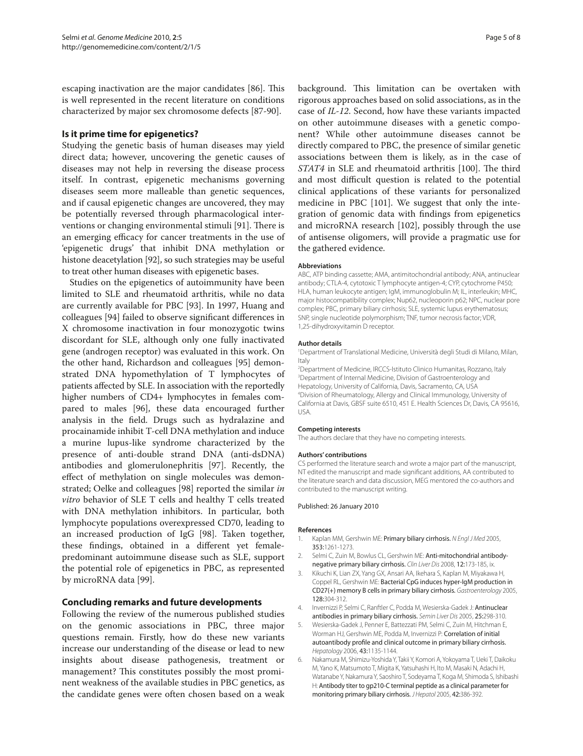escaping inactivation are the major candidates [86]. This is well represented in the recent literature on conditions characterized by major sex chromosome defects [87-90].

## **Is it prime time for epigenetics?**

Studying the genetic basis of human diseases may yield direct data; however, uncovering the genetic causes of diseases may not help in reversing the disease process itself. In contrast, epigenetic mechanisms governing diseases seem more malleable than genetic sequences, and if causal epigenetic changes are uncovered, they may be potentially reversed through pharmacological interventions or changing environmental stimuli [91]. There is an emerging efficacy for cancer treatments in the use of 'epigenetic drugs' that inhibit DNA methylation or histone deacetylation [92], so such strategies may be useful to treat other human diseases with epigenetic bases.

Studies on the epigenetics of autoimmunity have been limited to SLE and rheumatoid arthritis, while no data are currently available for PBC [93]. In 1997, Huang and colleagues [94] failed to observe significant differences in X chromosome inactivation in four monozygotic twins discordant for SLE, although only one fully inactivated gene (androgen receptor) was evaluated in this work. On the other hand, Richardson and colleagues [95] demonstrated DNA hypomethylation of T lymphocytes of patients affected by SLE. In association with the reportedly higher numbers of CD4+ lymphocytes in females compared to males [96], these data encouraged further analysis in the field. Drugs such as hydralazine and procainamide inhibit T-cell DNA methylation and induce a murine lupus-like syndrome characterized by the presence of anti-double strand DNA (anti-dsDNA) antibodies and glomerulonephritis [97]. Recently, the effect of methylation on single molecules was demonstrated; Oelke and colleagues [98] reported the similar *in vitro* behavior of SLE T cells and healthy T cells treated with DNA methylation inhibitors. In particular, both lymphocyte populations overexpressed CD70, leading to an increased production of IgG [98]. Taken together, these findings, obtained in a different yet femalepredominant autoimmune disease such as SLE, support the potential role of epigenetics in PBC, as represented by microRNA data [99].

## **Concluding remarks and future developments**

Following the review of the numerous published studies on the genomic associations in PBC, three major questions remain. Firstly, how do these new variants increase our understanding of the disease or lead to new insights about disease pathogenesis, treatment or management? This constitutes possibly the most prominent weakness of the available studies in PBC genetics, as the candidate genes were often chosen based on a weak background. This limitation can be overtaken with rigorous approaches based on solid associations, as in the case of *IL-12*. Second, how have these variants impacted on other autoimmune diseases with a genetic component? While other autoimmune diseases cannot be directly compared to PBC, the presence of similar genetic associations between them is likely, as in the case of *STAT4* in SLE and rheumatoid arthritis [100]. The third and most difficult question is related to the potential clinical applications of these variants for personalized medicine in PBC [101]. We suggest that only the integration of genomic data with findings from epigenetics and microRNA research [102], possibly through the use of antisense oligomers, will provide a pragmatic use for the gathered evidence.

#### **Abbreviations**

ABC, ATP binding cassette; AMA, antimitochondrial antibody; ANA, antinuclear antibody; CTLA-4, cytotoxic T lymphocyte antigen-4; CYP, cytochrome P450; HLA, human leukocyte antigen; IgM, immunoglobulin M; IL, interleukin; MHC, major histocompatibility complex; Nup62, nucleoporin p62; NPC, nuclear pore complex; PBC, primary biliary cirrhosis; SLE, systemic lupus erythematosus; SNP, single nucleotide polymorphism; TNF, tumor necrosis factor; VDR, 1,25-dihydroxyvitamin D receptor.

#### **Author details**

1 Department of Translational Medicine, Università degli Studi di Milano, Milan, Italy

2 Department of Medicine, IRCCS-Istituto Clinico Humanitas, Rozzano, Italy 3 Department of Internal Medicine, Division of Gastroenterology and Hepatology, University of California, Davis, Sacramento, CA, USA 4 Division of Rheumatology, Allergy and Clinical Immunology, University of California at Davis, GBSF suite 6510, 451 E. Health Sciences Dr, Davis, CA 95616, USA.

#### **Competing interests**

The authors declare that they have no competing interests.

#### **Authors' contributions**

CS performed the literature search and wrote a major part of the manuscript, NT edited the manuscript and made significant additions, AA contributed to the literature search and data discussion, MEG mentored the co-authors and contributed to the manuscript writing.

#### Published: 26 January 2010

#### **References**

- 1. Kaplan MM, Gershwin ME: Primary biliary cirrhosis. *N Engl J Med* 2005, 353:1261-1273.
- 2. Selmi C, Zuin M, Bowlus CL, Gershwin ME: Anti-mitochondrial antibodynegative primary biliary cirrhosis. *Clin Liver Dis* 2008, 12:173-185, ix.
- 3. Kikuchi K, Lian ZX, Yang GX, Ansari AA, Ikehara S, Kaplan M, Miyakawa H, Coppel RL, Gershwin ME: Bacterial CpG induces hyper-IgM production in CD27(+) memory B cells in primary biliary cirrhosis. *Gastroenterology* 2005, 128:304-312.
- 4. Invernizzi P, Selmi C, Ranftler C, Podda M, Wesierska-Gadek J: Antinuclear antibodies in primary biliary cirrhosis. *Semin Liver Dis* 2005, 25:298-310.
- 5. Wesierska-Gadek J, Penner E, Battezzati PM, Selmi C, Zuin M, Hitchman E, Worman HJ, Gershwin ME, Podda M, Invernizzi P: Correlation of initial autoantibody profile and clinical outcome in primary biliary cirrhosis. *Hepatology* 2006, 43:1135-1144.
- 6. Nakamura M, Shimizu-Yoshida Y, Takii Y, Komori A, Yokoyama T, Ueki T, Daikoku M, Yano K, Matsumoto T, Migita K, Yatsuhashi H, Ito M, Masaki N, Adachi H, Watanabe Y, Nakamura Y, Saoshiro T, Sodeyama T, Koga M, Shimoda S, Ishibashi H: Antibody titer to gp210-C terminal peptide as a clinical parameter for monitoring primary biliary cirrhosis. *J Hepatol* 2005, 42:386-392.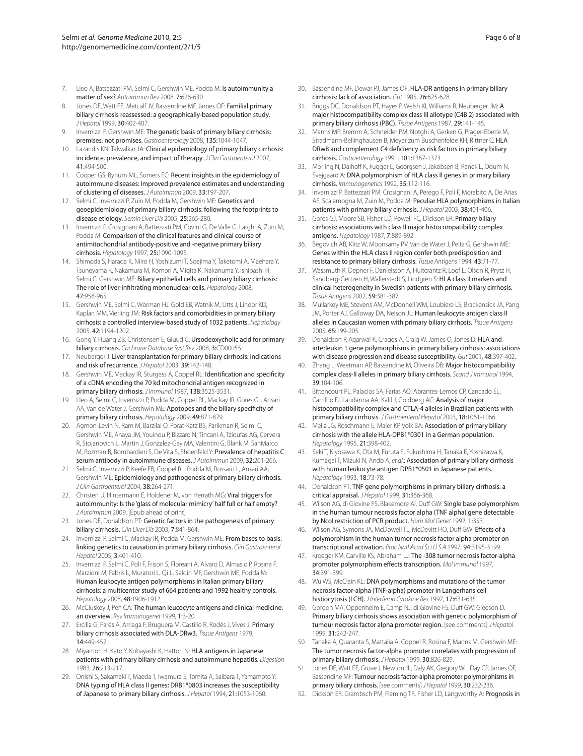- 7. Lleo A, Battezzati PM, Selmi C, Gershwin ME, Podda M: Is autoimmunity a matter of sex? *Autoimmun Rev* 2008, 7:626-630.
- Jones DE, Watt FE, Metcalf JV, Bassendine MF, James OF: Familial primary biliary cirrhosis reassessed: a geographically-based population study. *J Hepatol* 1999, 30:402-407.
- 9. Invernizzi P, Gershwin ME: The genetic basis of primary biliary cirrhosis: premises, not promises. *Gastroenterology* 2008, 135:1044-1047.
- 10. Lazaridis KN, Talwalkar JA: Clinical epidemiology of primary biliary cirrhosis: incidence, prevalence, and impact of therapy. *J Clin Gastroenterol* 2007, 41:494-500.
- 11. Cooper GS, Bynum ML, Somers EC: Recent insights in the epidemiology of autoimmune diseases: Improved prevalence estimates and understanding of clustering of diseases. *J Autoimmun* 2009, 33:197-207.
- 12. Selmi C, Invernizzi P, Zuin M, Podda M, Gershwin ME: Genetics and geoepidemiology of primary biliary cirrhosis: following the footprints to disease etiology. *Semin Liver Dis* 2005, 25:265-280.
- 13. Invernizzi P, Crosignani A, Battezzati PM, Covini G, De Valle G, Larghi A, Zuin M, Podda M: Comparison of the clinical features and clinical course of antimitochondrial antibody-positive and -negative primary biliary cirrhosis. *Hepatology* 1997, 25:1090-1095.
- 14. Shimoda S, Harada K, Niiro H, Yoshizumi T, Soejima Y, Taketomi A, Maehara Y, Tsuneyama K, Nakamura M, Komori A, Migita K, Nakanuma Y, Ishibashi H, Selmi C, Gershwin ME: Biliary epithelial cells and primary biliary cirrhosis: The role of liver-infiltrating mononuclear cells. *Hepatology* 2008, 47:958-965.
- 15. Gershwin ME, Selmi C, Worman HJ, Gold EB, Watnik M, Utts J, Lindor KD, Kaplan MM, Vierling JM: Risk factors and comorbidities in primary biliary cirrhosis: a controlled interview-based study of 1032 patients. *Hepatology*  2005, 42:1194-1202.
- 16. Gong Y, Huang ZB, Christensen E, Gluud C: Ursodeoxycholic acid for primary biliary cirrhosis. *Cochrane Database Syst Rev* 2008, 3:CD000551.
- 17. Neuberger J: Liver transplantation for primary biliary cirrhosis: indications and risk of recurrence. *J Hepatol* 2003, 39:142-148.
- 18. Gershwin ME, Mackay IR, Sturgess A, Coppel RL: Identification and specificity of a cDNA encoding the 70 kd mitochondrial antigen recognized in primary biliary cirrhosis. *J Immunol* 1987, 138:3525-3531.
- 19. Lleo A, Selmi C, Invernizzi P, Podda M, Coppel RL, Mackay IR, Gores GJ, Ansari AA, Van de Water J, Gershwin ME: Apotopes and the biliary specificity of primary biliary cirrhosis. *Hepatology* 2009, 49:871-879.
- 20. Agmon-Levin N, Ram M, Barzilai O, Porat-Katz BS, Parikman R, Selmi C, Gershwin ME, Anaya JM, Youinou P, Bizzaro N, Tincani A, Tzioufas AG, Cervera R, Stojanovich L, Martin J, Gonzalez-Gay MA, Valentini G, Blank M, SanMarco M, Rozman B, Bombardieri S, De Vita S, Shoenfeld Y: Prevalence of hepatitis C serum antibody in autoimmune diseases. *J Autoimmun* 2009, 32:261-266.
- 21. Selmi C, Invernizzi P, Keefe EB, Coppel RL, Podda M, Rossaro L, Ansari AA, Gershwin ME: Epidemiology and pathogenesis of primary biliary cirrhosis. *J Clin Gastroenterol* 2004, 38:264-271.
- 22. Christen U, Hintermann E, Holdener M, von Herrath MG: Viral triggers for autoimmunity: Is the 'glass of molecular mimicry' half full or half empty? *J Autoimmun* 2009. [Epub ahead of print]
- 23. Jones DE, Donaldson PT: Genetic factors in the pathogenesis of primary biliary cirrhosis. *Clin Liver Dis* 2003, 7:841-864.
- 24. Invernizzi P, Selmi C, Mackay IR, Podda M, Gershwin ME: From bases to basis: linking genetics to causation in primary biliary cirrhosis. *Clin Gastroenterol Hepatol* 2005, 3:401-410.
- 25. Invernizzi P, Selmi C, Poli F, Frison S, Floreani A, Alvaro D, Almasio P, Rosina F, Marzioni M, Fabris L, Muratori L, Qi L, Seldin MF, Gershwin ME, Podda M: Human leukocyte antigen polymorphisms in Italian primary biliary cirrhosis: a multicenter study of 664 patients and 1992 healthy controls. *Hepatology* 2008, 48:1906-1912.
- 26. McCluskey J, Peh CA: The human leucocyte antigens and clinical medicine: an overview. *Rev Immunogenet* 1999, 1:3-20.
- 27. Ercilla G, Parés A, Arriaga F, Bruguera M, Castillo R, Rodés J, Vives J: Primary biliary cirrhosis associated with DLA-DRw3. *Tissue Antigens* 1979, 14:449-452.
- 28. Miyamori H, Kato Y, Kobayashi K, Hattori N: **HLA antigens in Japanese** patients with primary biliary cirrhosis and autoimmune hepatitis. *Digestion*  1983, 26:213-217.
- 29. Onishi S, Sakamaki T, Maeda T, Iwamura S, Tomita A, Saibara T, Yamamoto Y: DNA typing of HLA class II genes; DRB1\*0803 increases the susceptibility of Japanese to primary biliary cirrhosis. *J Hepatol* 1994, 21:1053-1060.
- 30. Bassendine MF, Dewar PJ, James OF: HLA-DR antigens in primary biliary cirrhosis: lack of association. *Gut* 1985, 26:625-628.
- 31. Briggs DC, Donaldson PT, Hayes P, Welsh KI, Williams R, Neuberger JM: A major histocompatibility complex class III allotype (C4B 2) associated with primary biliary cirrhosis (PBC). *Tissue Antigens* 1987, 29:141-145.
- 32. Manns MP, Bremm A, Schneider PM, Notghi A, Gerken G, Prager-Eberle M, Stradmann-Bellinghausen B, Meyer zum Buschenfelde KH, Rittner C: HLA DRw8 and complement C4 deficiency as risk factors in primary biliary cirrhosis. *Gastroenterology* 1991, 101:1367-1373.
- 33. Morling N, Dalhoff K, Fugger L, Georgsen J, Jakobsen B, Ranek L, Odum N, Svejgaard A: DNA polymorphism of HLA class II genes in primary biliary cirrhosis. *Immunogenetics* 1992, 35:112-116.
- 34. Invernizzi P, Battezzati PM, Crosignani A, Perego F, Poli F, Morabito A, De Arias AE, Scalamogna M, Zuin M, Podda M: Peculiar HLA polymorphisms in Italian patients with primary biliary cirrhosis. *J Hepatol* 2003, 38:401-406.
- 35. Gores GJ, Moore SB, Fisher LD, Powell FC, Dickson ER: Primary biliary cirrhosis: associations with class II major histocompatibility complex antigens. *Hepatology* 1987, 7:889-892.
- 36. Begovich AB, Klitz W, Moonsamy PV, Van de Water J, Peltz G, Gershwin ME: Genes within the HLA class II region confer both predisposition and resistance to primary biliary cirrhosis. *Tissue Antigens* 1994, 43:71-77.
- 37. Wassmuth R, Depner F, Danielsson A, Hultcrantz R, Loof L, Olson R, Prytz H, Sandberg-Gertzen H, Wallerstedt S, Lindgren S: HLA class II markers and clinical heterogeneity in Swedish patients with primary biliary cirrhosis. *Tissue Antigens* 2002, 59:381-387.
- 38. Mullarkey ME, Stevens AM, McDonnell WM, Loubiere LS, Brackensick JA, Pang JM, Porter AJ, Galloway DA, Nelson JL: Human leukocyte antigen class II alleles in Caucasian women with primary biliary cirrhosis. *Tissue Antigens*  2005, 65:199-205.
- 39. Donaldson P, Agarwal K, Craggs A, Craig W, James O, Jones D: HLA and interleukin 1 gene polymorphisms in primary biliary cirrhosis: associations with disease progression and disease susceptibility. *Gut* 2001, 48:397-402.
- 40. Zhang L, Weetman AP, Bassendine M, Oliveira DB: Major histocompatibility complex class-II alleles in primary biliary cirrhosis. *Scand J Immunol* 1994, 39:104-106.
- 41. Bittencourt PL, Palacios SA, Farias AQ, Abrantes-Lemos CP, Cancado EL, Carrilho FJ, Laudanna AA, Kalil J, Goldberg AC: Analysis of major histocompatibility complex and CTLA-4 alleles in Brazilian patients with primary biliary cirrhosis. *J Gastroenterol Hepatol* 2003, 18:1061-1066.
- 42. Mella JG, Roschmann E, Maier KP, Volk BA: Association of primary biliary cirrhosis with the allele HLA-DPB1\*0301 in a German population. *Hepatology* 1995, 21:398-402.
- 43. Seki T, Kiyosawa K, Ota M, Furuta S, Fukushima H, Tanaka E, Yoshizawa K, Kumagai T, Mizuki N, Ando A, *et al*.: Association of primary biliary cirrhosis with human leukocyte antigen DPB1\*0501 in Japanese patients. *Hepatology* 1993, 18:73-78.
- 44. Donaldson PT: TNF gene polymorphisms in primary biliary cirrhosis: a critical appraisal. *J Hepatol* 1999, 31:366-368.
- 45. Wilson AG, di Giovine FS, Blakemore AI, Duff GW: Single base polymorphism in the human tumour necrosis factor alpha (TNF alpha) gene detectable by NcoI restriction of PCR product. *Hum Mol Genet* 1992, 1:353.
- Wilson AG, Symons JA, McDowell TL, McDevitt HO, Duff GW: Effects of a polymorphism in the human tumor necrosis factor alpha promoter on transcriptional activation. *Proc Natl Acad Sci U S A* 1997, 94:3195-3199.
- 47. Kroeger KM, Carville KS, Abraham LJ: The -308 tumor necrosis factor-alpha promoter polymorphism effects transcription. *Mol Immunol* 1997, 34:391-399.
- 48. Wu WS, McClain KL: DNA polymorphisms and mutations of the tumor necrosis factor-alpha (TNF-alpha) promoter in Langerhans cell histiocytosis (LCH). *J Interferon Cytokine Res* 1997, 17:631-635.
- 49. Gordon MA, Oppenheim E, Camp NJ, di Giovine FS, Duff GW, Gleeson D: Primary biliary cirrhosis shows association with genetic polymorphism of tumour necrosis factor alpha promoter region. [see comments] *J Hepatol*  1999, 31:242-247.
- 50. Tanaka A, Quaranta S, Mattalia A, Coppel R, Rosina F, Manns M, Gershwin ME: The tumor necrosis factor-alpha promoter correlates with progression of primary biliary cirrhosis. *J Hepatol* 1999, 30:826-829.
- 51. Jones DE, Watt FE, Grove J, Newton JL, Daly AK, Gregory WL, Day CP, James OF, Bassendine MF: Tumour necrosis factor-alpha promoter polymorphisms in primary biliary cirrhosis. [see comments] *J Hepatol* 1999, 30:232-236.
- 52. Dickson ER, Grambsch PM, Fleming TR, Fisher LD, Langworthy A: Prognosis in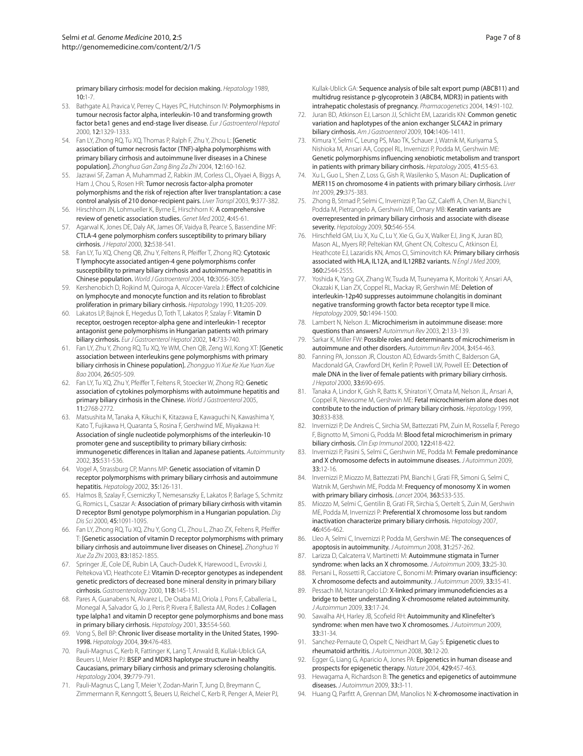primary biliary cirrhosis: model for decision making. *Hepatology* 1989, 10:1-7.

- 53. Bathgate AJ, Pravica V, Perrey C, Hayes PC, Hutchinson IV: Polymorphisms in tumour necrosis factor alpha, interleukin-10 and transforming growth factor beta1 genes and end-stage liver disease. *Eur J Gastroenterol Hepatol*  2000, 12:1329-1333.
- 54. Fan LY, Zhong RQ, Tu XQ, Thomas P, Ralph F, Zhu Y, Zhou L: [Genetic association of tumor necrosis factor (TNF)-alpha polymorphisms with primary biliary cirrhosis and autoimmune liver diseases in a Chinese population]. *Zhonghua Gan Zang Bing Za Zhi* 2004, 12:160-162.
- 55. Jazrawi SF, Zaman A, Muhammad Z, Rabkin JM, Corless CL, Olyaei A, Biggs A, Ham J, Chou S, Rosen HR: Tumor necrosis factor-alpha promoter polymorphisms and the risk of rejection after liver transplantation: a case control analysis of 210 donor-recipient pairs. *Liver Transpl* 2003, 9:377-382.
- 56. Hirschhorn JN, Lohmueller K, Byrne E, Hirschhorn K: A comprehensive review of genetic association studies. *Genet Med* 2002, 4:45-61.
- 57. Agarwal K, Jones DE, Daly AK, James OF, Vaidya B, Pearce S, Bassendine MF: CTLA-4 gene polymorphism confers susceptibility to primary biliary cirrhosis. *J Hepatol* 2000, 32:538-541.
- 58. Fan LY, Tu XQ, Cheng QB, Zhu Y, Feltens R, Pfeiffer T, Zhong RQ: Cytotoxic T lymphocyte associated antigen-4 gene polymorphisms confer susceptibility to primary biliary cirrhosis and autoimmune hepatitis in Chinese population. *World J Gastroenterol* 2004, 10:3056-3059.
- Kershenobich D, Rojkind M, Quiroga A, Alcocer-Varela J: Effect of colchicine on lymphocyte and monocyte function and its relation to fibroblast proliferation in primary biliary cirrhosis. *Hepatology* 1990, 11:205-209.
- 60. Lakatos LP, Bajnok E, Hegedus D, Toth T, Lakatos P, Szalay F: Vitamin D receptor, oestrogen receptor-alpha gene and interleukin-1 receptor antagonist gene polymorphisms in Hungarian patients with primary biliary cirrhosis. *Eur J Gastroenterol Hepatol* 2002, 14:733-740.
- 61. Fan LY, Zhu Y, Zhong RQ, Tu XQ, Ye WM, Chen QB, Zeng WJ, Kong XT: [Genetic association between interleukins gene polymorphisms with primary biliary cirrhosis in Chinese population]. *Zhongguo Yi Xue Ke Xue Yuan Xue Bao* 2004, 26:505-509.
- 62. Fan LY, Tu XQ, Zhu Y, Pfeiffer T, Feltens R, Stoecker W, Zhong RQ: Genetic association of cytokines polymorphisms with autoimmune hepatitis and primary biliary cirrhosis in the Chinese. *World J Gastroenterol* 2005, 11:2768-2772.
- 63. Matsushita M, Tanaka A, Kikuchi K, Kitazawa E, Kawaguchi N, Kawashima Y, Kato T, Fujikawa H, Quaranta S, Rosina F, Gershwind ME, Miyakawa H: Association of single nucleotide polymorphisms of the interleukin-10 promoter gene and susceptibility to primary biliary cirrhosis: immunogenetic differences in Italian and Japanese patients. *Autoimmunity*  2002, 35:531-536.
- 64. Vogel A, Strassburg CP, Manns MP: Genetic association of vitamin D receptor polymorphisms with primary biliary cirrhosis and autoimmune hepatitis. *Hepatology* 2002, 35:126-131.
- 65. Halmos B, Szalay F, Cserniczky T, Nemesanszky E, Lakatos P, Barlage S, Schmitz G, Romics L, Csaszar A: Association of primary biliary cirrhosis with vitamin D receptor BsmI genotype polymorphism in a Hungarian population. *Dig Dis Sci* 2000, 45:1091-1095.
- 66. Fan LY, Zhong RQ, Tu XQ, Zhu Y, Gong CL, Zhou L, Zhao ZX, Feltens R, Pfeiffer T: [Genetic association of vitamin D receptor polymorphisms with primary biliary cirrhosis and autoimmune liver diseases on Chinese]. *Zhonghua Yi Xue Za Zhi* 2003, 83:1852-1855.
- 67. Springer JE, Cole DE, Rubin LA, Cauch-Dudek K, Harewood L, Evrovski J, Peltekova VD, Heathcote EJ: Vitamin D-receptor genotypes as independent genetic predictors of decreased bone mineral density in primary biliary cirrhosis. *Gastroenterology* 2000, 118:145-151.
- 68. Pares A, Guanabens N, Alvarez L, De Osaba MJ, Oriola J, Pons F, Caballeria L, Monegal A, Salvador G, Jo J, Peris P, Rivera F, Ballesta AM, Rodes J: Collagen type Ialpha1 and vitamin D receptor gene polymorphisms and bone mass in primary biliary cirrhosis. *Hepatology* 2001, 33:554-560.
- 69. Vong S, Bell BP: Chronic liver disease mortality in the United States, 1990- 1998. *Hepatology* 2004, 39:476-483.
- 70. Pauli-Magnus C, Kerb R, Fattinger K, Lang T, Anwald B, Kullak-Ublick GA, Beuers U, Meier PJ: BSEP and MDR3 haplotype structure in healthy Caucasians, primary biliary cirrhosis and primary sclerosing cholangitis. *Hepatology* 2004, 39:779-791.
- 71. Pauli-Magnus C, Lang T, Meier Y, Zodan-Marin T, Jung D, Breymann C, Zimmermann R, Kenngott S, Beuers U, Reichel C, Kerb R, Penger A, Meier PJ,

Kullak-Ublick GA: Sequence analysis of bile salt export pump (ABCB11) and multidrug resistance p-glycoprotein 3 (ABCB4, MDR3) in patients with intrahepatic cholestasis of pregnancy. *Pharmacogenetics* 2004, 14:91-102.

- 72. Juran BD, Atkinson EJ, Larson JJ, Schlicht EM, Lazaridis KN: Common genetic variation and haplotypes of the anion exchanger SLC4A2 in primary biliary cirrhosis. *Am J Gastroenterol* 2009, 104:1406-1411.
- 73. Kimura Y, Selmi C, Leung PS, Mao TK, Schauer J, Watnik M, Kuriyama S, Nishioka M, Ansari AA, Coppel RL, Invernizzi P, Podda M, Gershwin ME: Genetic polymorphisms influencing xenobiotic metabolism and transport in patients with primary biliary cirrhosis. *Hepatology* 2005, 41:55-63.
- 74. Xu L, Guo L, Shen Z, Loss G, Gish R, Wasilenko S, Mason AL: Duplication of MER115 on chromosome 4 in patients with primary biliary cirrhosis. *Liver Int* 2009, 29:375-383.
- 75. Zhong B, Strnad P, Selmi C, Invernizzi P, Tao GZ, Caleffi A, Chen M, Bianchi I, Podda M, Pietrangelo A, Gershwin ME, Omary MB: Keratin variants are overrepresented in primary biliary cirrhosis and associate with disease severity. *Hepatology* 2009, 50:546-554.
- 76. Hirschfield GM, Liu X, Xu C, Lu Y, Xie G, Gu X, Walker EJ, Jing K, Juran BD, Mason AL, Myers RP, Peltekian KM, Ghent CN, Coltescu C, Atkinson EJ, Heathcote EJ, Lazaridis KN, Amos CI, Siminovitch KA: Primary biliary cirrhosis associated with HLA, IL12A, and IL12RB2 variants. *N Engl J Med* 2009, 360:2544-2555.
- 77. Yoshida K, Yang GX, Zhang W, Tsuda M, Tsuneyama K, Moritoki Y, Ansari AA, Okazaki K, Lian ZX, Coppel RL, Mackay IR, Gershwin ME: Deletion of interleukin-12p40 suppresses autoimmune cholangitis in dominant negative transforming growth factor beta receptor type II mice. *Hepatology* 2009, 50:1494-1500.
- 78. Lambert N, Nelson JL: Microchimerism in autoimmune disease: more questions than answers? *Autoimmun Rev* 2003, 2:133-139.
- 79. Sarkar K, Miller FW: Possible roles and determinants of microchimerism in autoimmune and other disorders. *Autoimmun Rev* 2004, 3:454-463.
- 80. Fanning PA, Jonsson JR, Clouston AD, Edwards-Smith C, Balderson GA, Macdonald GA, Crawford DH, Kerlin P, Powell LW, Powell EE: Detection of male DNA in the liver of female patients with primary biliary cirrhosis. *J Hepatol* 2000, 33:690-695.
- 81. Tanaka A, Lindor K, Gish R, Batts K, Shiratori Y, Omata M, Nelson JL, Ansari A, Coppel R, Newsome M, Gershwin ME: Fetal microchimerism alone does not contribute to the induction of primary biliary cirrhosis. *Hepatology* 1999, 30:833-838.
- 82. Invernizzi P, De Andreis C, Sirchia SM, Battezzati PM, Zuin M, Rossella F, Perego F, Bignotto M, Simoni G, Podda M: Blood fetal microchimerism in primary biliary cirrhosis. *Clin Exp Immunol* 2000, 122:418-422.
- 83. Invernizzi P, Pasini S, Selmi C, Gershwin ME, Podda M: Female predominance and X chromosome defects in autoimmune diseases. *J Autoimmun* 2009, 33:12-16.
- 84. Invernizzi P, Miozzo M, Battezzati PM, Bianchi I, Grati FR, Simoni G, Selmi C, Watnik M, Gershwin ME, Podda M: Frequency of monosomy X in women with primary biliary cirrhosis. *Lancet* 2004, 363:533-535.
- 85. Miozzo M, Selmi C, Gentilin B, Grati FR, Sirchia S, Oertelt S, Zuin M, Gershwin ME, Podda M, Invernizzi P: Preferential X chromosome loss but random inactivation characterize primary biliary cirrhosis. *Hepatology* 2007, 46:456-462.
- 86. Lleo A, Selmi C, Invernizzi P, Podda M, Gershwin ME: The consequences of apoptosis in autoimmunity. *J Autoimmun* 2008, 31:257-262.
- 87. Larizza D, Calcaterra V, Martinetti M: Autoimmune stigmata in Turner syndrome: when lacks an X chromosome. *J Autoimmun* 2009, 33:25-30. 88. Persani L, Rossetti R, Cacciatore C, Bonomi M: Primary ovarian insufficiency:
- X chromosome defects and autoimmunity. *J Autoimmun* 2009, 33:35-41.
- 89. Pessach IM, Notarangelo LD: X-linked primary immunodeficiencies as a bridge to better understanding X-chromosome related autoimmunity. *J Autoimmun* 2009, 33:17-24.
- 90. Sawalha AH, Harley JB, Scofield RH: Autoimmunity and Klinefelter's syndrome: when men have two X chromosomes. *J Autoimmun* 2009, 33:31-34.
- 91. Sanchez-Pernaute O, Ospelt C, Neidhart M, Gay S: Epigenetic clues to rheumatoid arthritis. *J Autoimmun* 2008, 30:12-20.
- 92. Egger G, Liang G, Aparicio A, Jones PA: Epigenetics in human disease and prospects for epigenetic therapy. *Nature* 2004, 429:457-463.
- 93. Hewagama A, Richardson B: The genetics and epigenetics of autoimmune diseases. *J Autoimmun* 2009, 33:3-11.
- 94. Huang Q, Parfitt A, Grennan DM, Manolios N: X-chromosome inactivation in